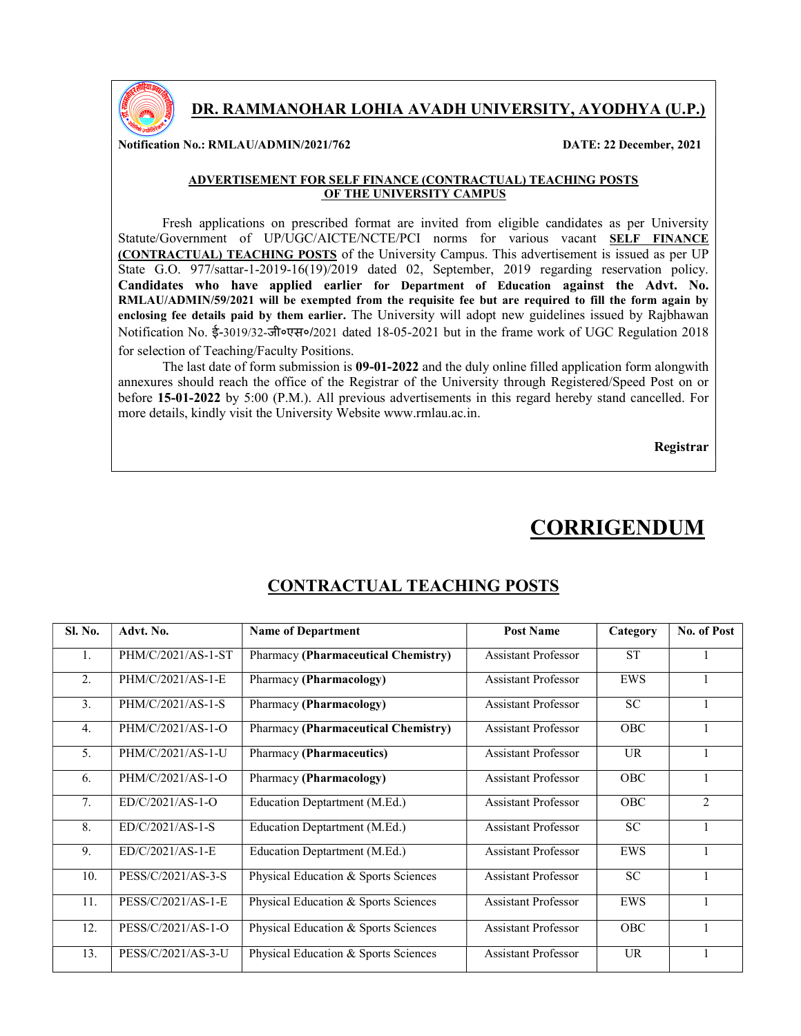

## DR. RAMMANOHAR LOHIA AVADH UNIVERSITY, AYODHYA (U.P.)

Notification No.: RMLAU/ADMIN/2021/762 DATE: 22 December, 2021

## ADVERTISEMENT FOR SELF FINANCE (CONTRACTUAL) TEACHING POSTS OF THE UNIVERSITY CAMPUS

Fresh applications on prescribed format are invited from eligible candidates as per University Statute/Government of UP/UGC/AICTE/NCTE/PCI norms for various vacant SELF FINANCE (CONTRACTUAL) TEACHING POSTS of the University Campus. This advertisement is issued as per UP State G.O. 977/sattar-1-2019-16(19)/2019 dated 02, September, 2019 regarding reservation policy. Candidates who have applied earlier for Department of Education against the Advt. No. RMLAU/ADMIN/59/2021 will be exempted from the requisite fee but are required to fill the form again by enclosing fee details paid by them earlier. The University will adopt new guidelines issued by Rajbhawan Notification No. ई-3019/32-जी०एस०/2021 dated 18-05-2021 but in the frame work of UGC Regulation 2018 for selection of Teaching/Faculty Positions.

The last date of form submission is 09-01-2022 and the duly online filled application form alongwith annexures should reach the office of the Registrar of the University through Registered/Speed Post on or before 15-01-2022 by 5:00 (P.M.). All previous advertisements in this regard hereby stand cancelled. For more details, kindly visit the University Website www.rmlau.ac.in.

Registrar

## CORRIGENDUM

| Sl. No.        | Advt. No.          | <b>Name of Department</b>                  | <b>Post Name</b>           | Category   | <b>No. of Post</b> |
|----------------|--------------------|--------------------------------------------|----------------------------|------------|--------------------|
| $\mathbf{1}$ . | PHM/C/2021/AS-1-ST | <b>Pharmacy (Pharmaceutical Chemistry)</b> | <b>Assistant Professor</b> | <b>ST</b>  |                    |
| 2.             | PHM/C/2021/AS-1-E  | Pharmacy (Pharmacology)                    | <b>Assistant Professor</b> | EWS        |                    |
| 3.             | PHM/C/2021/AS-1-S  | Pharmacy (Pharmacology)                    | <b>Assistant Professor</b> | <b>SC</b>  |                    |
| 4.             | PHM/C/2021/AS-1-O  | Pharmacy (Pharmaceutical Chemistry)        | <b>Assistant Professor</b> | <b>OBC</b> |                    |
| 5.             | PHM/C/2021/AS-1-U  | <b>Pharmacy (Pharmaceutics)</b>            | <b>Assistant Professor</b> | <b>UR</b>  |                    |
| 6.             | PHM/C/2021/AS-1-O  | Pharmacy (Pharmacology)                    | <b>Assistant Professor</b> | <b>OBC</b> |                    |
| 7.             | $ED/C/2021/AS-1-O$ | Education Deptartment (M.Ed.)              | <b>Assistant Professor</b> | <b>OBC</b> | 2                  |
| 8.             | $ED/C/2021/AS-1-S$ | Education Deptartment (M.Ed.)              | <b>Assistant Professor</b> | <b>SC</b>  |                    |
| 9.             | ED/C/2021/AS-1-E   | Education Deptartment (M.Ed.)              | <b>Assistant Professor</b> | EWS        | 1                  |
| 10.            | PESS/C/2021/AS-3-S | Physical Education & Sports Sciences       | <b>Assistant Professor</b> | <b>SC</b>  |                    |
| 11.            | PESS/C/2021/AS-1-E | Physical Education & Sports Sciences       | <b>Assistant Professor</b> | EWS        | $\mathbf{1}$       |
| 12.            | PESS/C/2021/AS-1-O | Physical Education & Sports Sciences       | <b>Assistant Professor</b> | <b>OBC</b> |                    |
| 13.            | PESS/C/2021/AS-3-U | Physical Education & Sports Sciences       | <b>Assistant Professor</b> | <b>UR</b>  |                    |